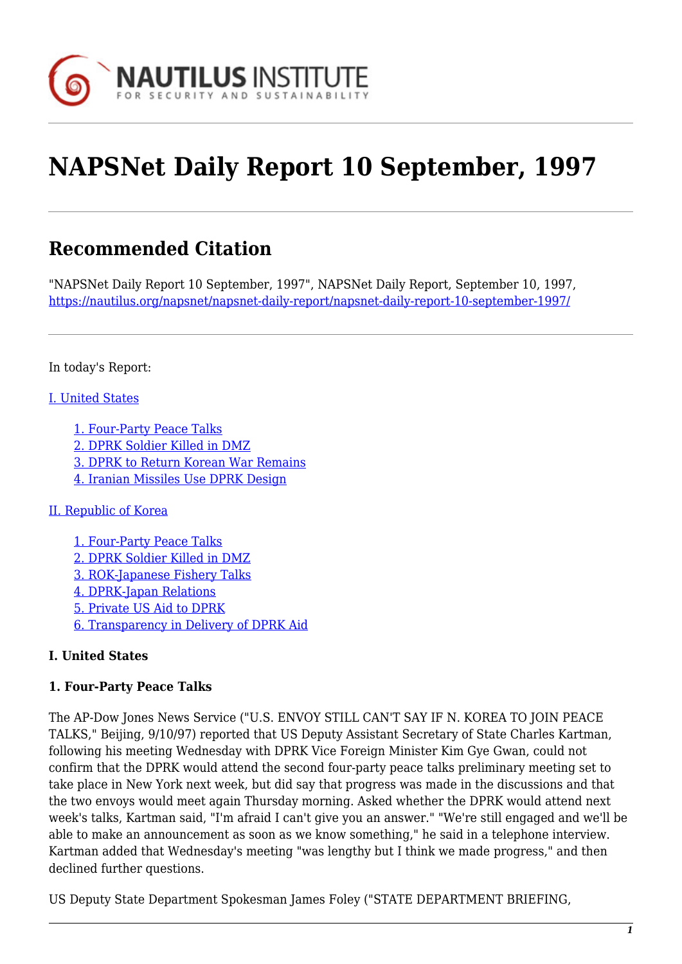

# **NAPSNet Daily Report 10 September, 1997**

## **Recommended Citation**

"NAPSNet Daily Report 10 September, 1997", NAPSNet Daily Report, September 10, 1997, <https://nautilus.org/napsnet/napsnet-daily-report/napsnet-daily-report-10-september-1997/>

In today's Report:

#### [I. United States](#page-3-0)

- [1. Four-Party Peace Talks](#page-3-1)
- [2. DPRK Soldier Killed in DMZ](#page-4-0)
- [3. DPRK to Return Korean War Remains](#page-4-1)
- [4. Iranian Missiles Use DPRK Design](#page-4-2)

#### [II. Republic of Korea](#page-5-0)

- [1. Four-Party Peace Talks](#page-5-1) [2. DPRK Soldier Killed in DMZ](#page-5-2) [3. ROK-Japanese Fishery Talks](#page-5-3) [4. DPRK-Japan Relations](#page-6-0) [5. Private US Aid to DPRK](#page-6-1)
- [6. Transparency in Delivery of DPRK Aid](#page-6-2)

## **I. United States**

#### **1. Four-Party Peace Talks**

The AP-Dow Jones News Service ("U.S. ENVOY STILL CAN'T SAY IF N. KOREA TO JOIN PEACE TALKS," Beijing, 9/10/97) reported that US Deputy Assistant Secretary of State Charles Kartman, following his meeting Wednesday with DPRK Vice Foreign Minister Kim Gye Gwan, could not confirm that the DPRK would attend the second four-party peace talks preliminary meeting set to take place in New York next week, but did say that progress was made in the discussions and that the two envoys would meet again Thursday morning. Asked whether the DPRK would attend next week's talks, Kartman said, "I'm afraid I can't give you an answer." "We're still engaged and we'll be able to make an announcement as soon as we know something," he said in a telephone interview. Kartman added that Wednesday's meeting "was lengthy but I think we made progress," and then declined further questions.

US Deputy State Department Spokesman James Foley ("STATE DEPARTMENT BRIEFING,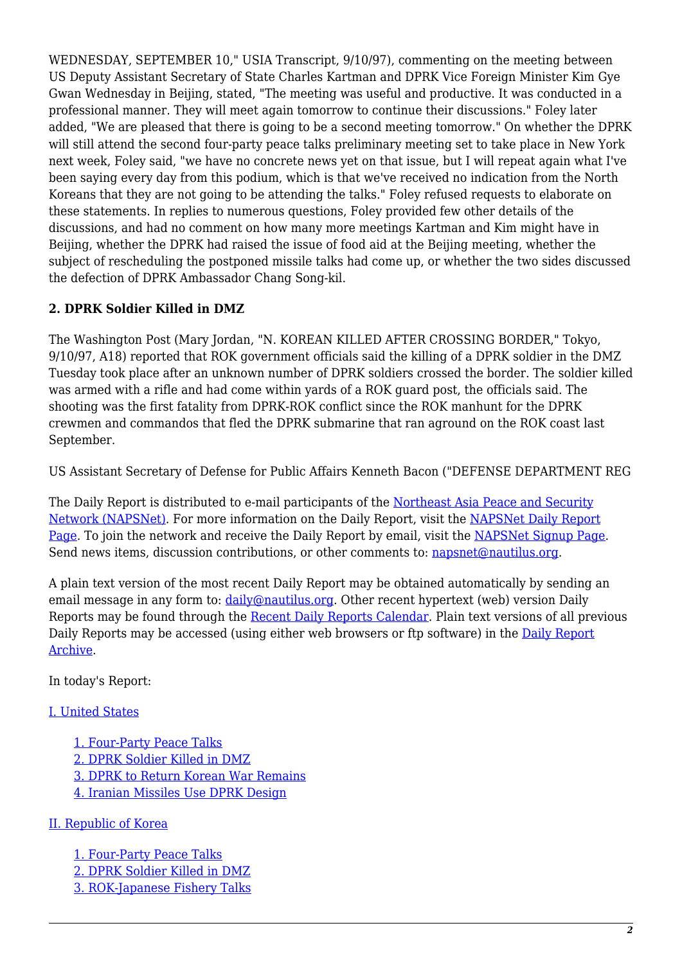WEDNESDAY, SEPTEMBER 10," USIA Transcript, 9/10/97), commenting on the meeting between US Deputy Assistant Secretary of State Charles Kartman and DPRK Vice Foreign Minister Kim Gye Gwan Wednesday in Beijing, stated, "The meeting was useful and productive. It was conducted in a professional manner. They will meet again tomorrow to continue their discussions." Foley later added, "We are pleased that there is going to be a second meeting tomorrow." On whether the DPRK will still attend the second four-party peace talks preliminary meeting set to take place in New York next week, Foley said, "we have no concrete news yet on that issue, but I will repeat again what I've been saying every day from this podium, which is that we've received no indication from the North Koreans that they are not going to be attending the talks." Foley refused requests to elaborate on these statements. In replies to numerous questions, Foley provided few other details of the discussions, and had no comment on how many more meetings Kartman and Kim might have in Beijing, whether the DPRK had raised the issue of food aid at the Beijing meeting, whether the subject of rescheduling the postponed missile talks had come up, or whether the two sides discussed the defection of DPRK Ambassador Chang Song-kil.

## **2. DPRK Soldier Killed in DMZ**

The Washington Post (Mary Jordan, "N. KOREAN KILLED AFTER CROSSING BORDER," Tokyo, 9/10/97, A18) reported that ROK government officials said the killing of a DPRK soldier in the DMZ Tuesday took place after an unknown number of DPRK soldiers crossed the border. The soldier killed was armed with a rifle and had come within yards of a ROK guard post, the officials said. The shooting was the first fatality from DPRK-ROK conflict since the ROK manhunt for the DPRK crewmen and commandos that fled the DPRK submarine that ran aground on the ROK coast last September.

US Assistant Secretary of Defense for Public Affairs Kenneth Bacon ("DEFENSE DEPARTMENT REG

The Daily Report is distributed to e-mail participants of the [Northeast Asia Peace and Security](http://www.nautilus.org/napsnet/index.html) [Network \(NAPSNet\).](http://www.nautilus.org/napsnet/index.html) For more information on the Daily Report, visit the [NAPSNet Daily Report](http://www.nautilus.org/napsnet/dailyreport.html) [Page](http://www.nautilus.org/napsnet/dailyreport.html). To join the network and receive the Daily Report by email, visit the [NAPSNet Signup Page](http://www.nautilus.org/napsnet/signup.html). Send news items, discussion contributions, or other comments to: [napsnet@nautilus.org.](mailto:napsnet@nautilus.org (Daily Report Editor))

A plain text version of the most recent Daily Report may be obtained automatically by sending an email message in any form to:  $\frac{daily@nautilus.org.}$  $\frac{daily@nautilus.org.}$  $\frac{daily@nautilus.org.}$  Other recent hypertext (web) version Daily Reports may be found through the [Recent Daily Reports Calendar](http://www.nautilus.org/napsnet/recent_daily_reports/). Plain text versions of all previous Daily Reports may be accessed (using either web browsers or ftp software) in the [Daily Report](ftp://ftp.nautilus.org/napsnet/daily_reports) [Archive.](ftp://ftp.nautilus.org/napsnet/daily_reports)

In today's Report:

## [I. United States](#page-3-0)

[1. Four-Party Peace Talks](#page-3-1) [2. DPRK Soldier Killed in DMZ](#page-4-0) [3. DPRK to Return Korean War Remains](#page-4-1) [4. Iranian Missiles Use DPRK Design](#page-4-2)

#### [II. Republic of Korea](#page-5-0)

[1. Four-Party Peace Talks](#page-5-1) [2. DPRK Soldier Killed in DMZ](#page-5-2) [3. ROK-Japanese Fishery Talks](#page-5-3)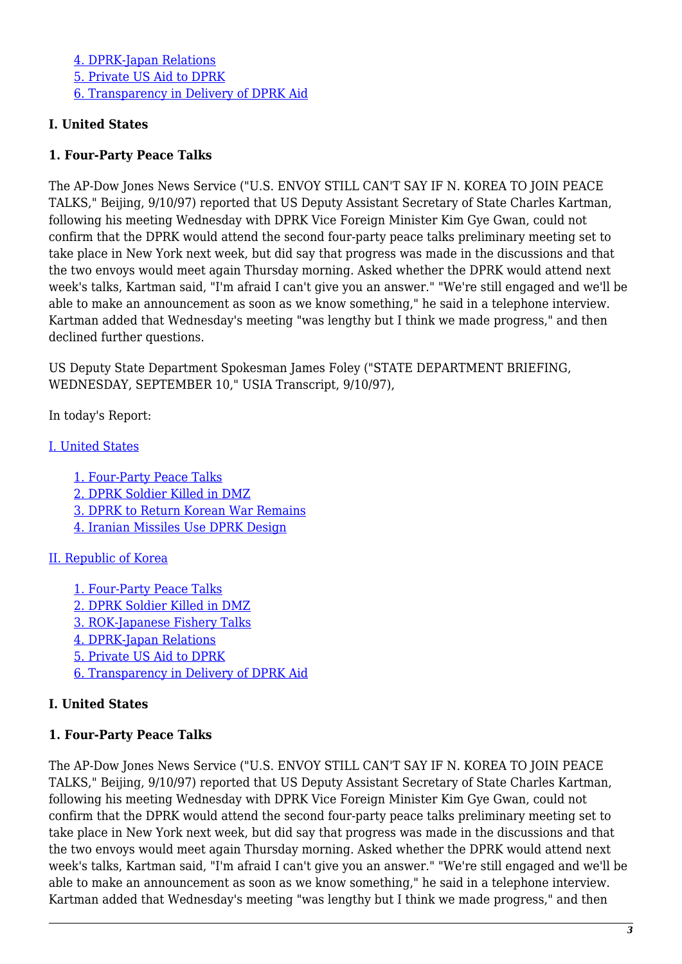[4. DPRK-Japan Relations](#page-6-0) [5. Private US Aid to DPRK](#page-6-1) [6. Transparency in Delivery of DPRK Aid](#page-6-2)

#### **I. United States**

#### **1. Four-Party Peace Talks**

The AP-Dow Jones News Service ("U.S. ENVOY STILL CAN'T SAY IF N. KOREA TO JOIN PEACE TALKS," Beijing, 9/10/97) reported that US Deputy Assistant Secretary of State Charles Kartman, following his meeting Wednesday with DPRK Vice Foreign Minister Kim Gye Gwan, could not confirm that the DPRK would attend the second four-party peace talks preliminary meeting set to take place in New York next week, but did say that progress was made in the discussions and that the two envoys would meet again Thursday morning. Asked whether the DPRK would attend next week's talks, Kartman said, "I'm afraid I can't give you an answer." "We're still engaged and we'll be able to make an announcement as soon as we know something," he said in a telephone interview. Kartman added that Wednesday's meeting "was lengthy but I think we made progress," and then declined further questions.

US Deputy State Department Spokesman James Foley ("STATE DEPARTMENT BRIEFING, WEDNESDAY, SEPTEMBER 10," USIA Transcript, 9/10/97),

In today's Report:

[I. United States](#page-3-0)

[1. Four-Party Peace Talks](#page-3-1) [2. DPRK Soldier Killed in DMZ](#page-4-0) [3. DPRK to Return Korean War Remains](#page-4-1) [4. Iranian Missiles Use DPRK Design](#page-4-2)

#### [II. Republic of Korea](#page-5-0)

[1. Four-Party Peace Talks](#page-5-1) [2. DPRK Soldier Killed in DMZ](#page-5-2) [3. ROK-Japanese Fishery Talks](#page-5-3) [4. DPRK-Japan Relations](#page-6-0) [5. Private US Aid to DPRK](#page-6-1) [6. Transparency in Delivery of DPRK Aid](#page-6-2)

## **I. United States**

#### **1. Four-Party Peace Talks**

The AP-Dow Jones News Service ("U.S. ENVOY STILL CAN'T SAY IF N. KOREA TO JOIN PEACE TALKS," Beijing, 9/10/97) reported that US Deputy Assistant Secretary of State Charles Kartman, following his meeting Wednesday with DPRK Vice Foreign Minister Kim Gye Gwan, could not confirm that the DPRK would attend the second four-party peace talks preliminary meeting set to take place in New York next week, but did say that progress was made in the discussions and that the two envoys would meet again Thursday morning. Asked whether the DPRK would attend next week's talks, Kartman said, "I'm afraid I can't give you an answer." "We're still engaged and we'll be able to make an announcement as soon as we know something," he said in a telephone interview. Kartman added that Wednesday's meeting "was lengthy but I think we made progress," and then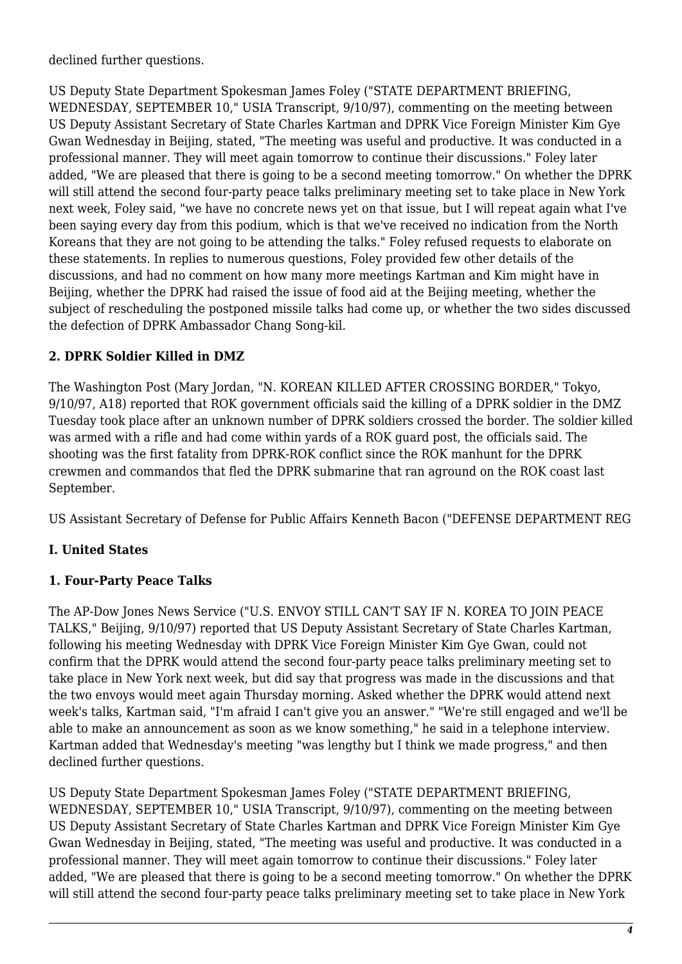declined further questions.

US Deputy State Department Spokesman James Foley ("STATE DEPARTMENT BRIEFING, WEDNESDAY, SEPTEMBER 10," USIA Transcript, 9/10/97), commenting on the meeting between US Deputy Assistant Secretary of State Charles Kartman and DPRK Vice Foreign Minister Kim Gye Gwan Wednesday in Beijing, stated, "The meeting was useful and productive. It was conducted in a professional manner. They will meet again tomorrow to continue their discussions." Foley later added, "We are pleased that there is going to be a second meeting tomorrow." On whether the DPRK will still attend the second four-party peace talks preliminary meeting set to take place in New York next week, Foley said, "we have no concrete news yet on that issue, but I will repeat again what I've been saying every day from this podium, which is that we've received no indication from the North Koreans that they are not going to be attending the talks." Foley refused requests to elaborate on these statements. In replies to numerous questions, Foley provided few other details of the discussions, and had no comment on how many more meetings Kartman and Kim might have in Beijing, whether the DPRK had raised the issue of food aid at the Beijing meeting, whether the subject of rescheduling the postponed missile talks had come up, or whether the two sides discussed the defection of DPRK Ambassador Chang Song-kil.

## **2. DPRK Soldier Killed in DMZ**

The Washington Post (Mary Jordan, "N. KOREAN KILLED AFTER CROSSING BORDER," Tokyo, 9/10/97, A18) reported that ROK government officials said the killing of a DPRK soldier in the DMZ Tuesday took place after an unknown number of DPRK soldiers crossed the border. The soldier killed was armed with a rifle and had come within yards of a ROK guard post, the officials said. The shooting was the first fatality from DPRK-ROK conflict since the ROK manhunt for the DPRK crewmen and commandos that fled the DPRK submarine that ran aground on the ROK coast last September.

US Assistant Secretary of Defense for Public Affairs Kenneth Bacon ("DEFENSE DEPARTMENT REG

## <span id="page-3-0"></span>**I. United States**

## <span id="page-3-1"></span>**1. Four-Party Peace Talks**

The AP-Dow Jones News Service ("U.S. ENVOY STILL CAN'T SAY IF N. KOREA TO JOIN PEACE TALKS," Beijing, 9/10/97) reported that US Deputy Assistant Secretary of State Charles Kartman, following his meeting Wednesday with DPRK Vice Foreign Minister Kim Gye Gwan, could not confirm that the DPRK would attend the second four-party peace talks preliminary meeting set to take place in New York next week, but did say that progress was made in the discussions and that the two envoys would meet again Thursday morning. Asked whether the DPRK would attend next week's talks, Kartman said, "I'm afraid I can't give you an answer." "We're still engaged and we'll be able to make an announcement as soon as we know something," he said in a telephone interview. Kartman added that Wednesday's meeting "was lengthy but I think we made progress," and then declined further questions.

US Deputy State Department Spokesman James Foley ("STATE DEPARTMENT BRIEFING, WEDNESDAY, SEPTEMBER 10," USIA Transcript, 9/10/97), commenting on the meeting between US Deputy Assistant Secretary of State Charles Kartman and DPRK Vice Foreign Minister Kim Gye Gwan Wednesday in Beijing, stated, "The meeting was useful and productive. It was conducted in a professional manner. They will meet again tomorrow to continue their discussions." Foley later added, "We are pleased that there is going to be a second meeting tomorrow." On whether the DPRK will still attend the second four-party peace talks preliminary meeting set to take place in New York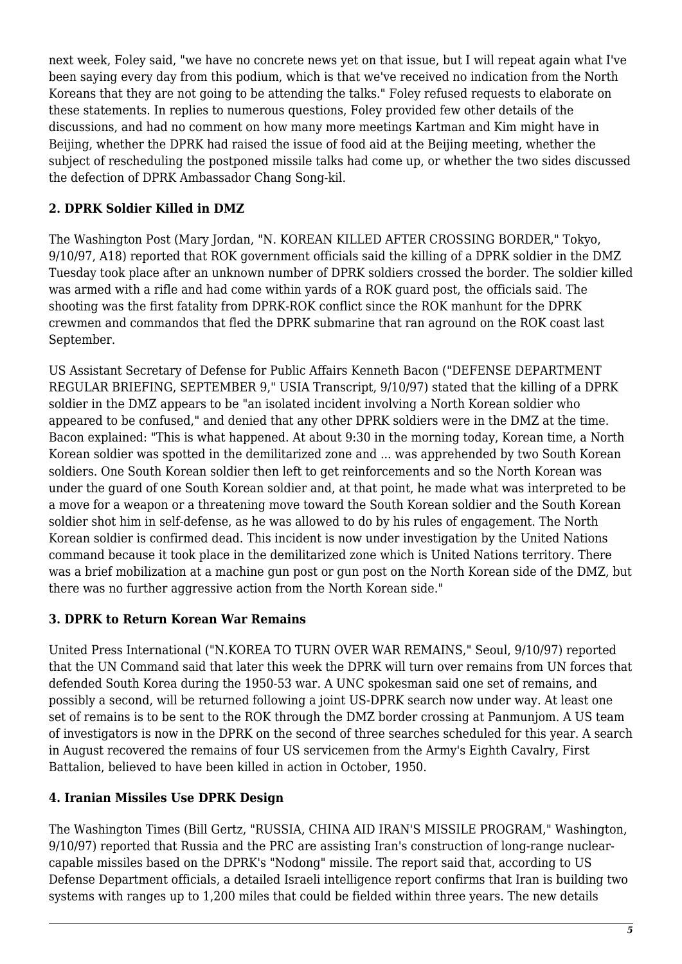next week, Foley said, "we have no concrete news yet on that issue, but I will repeat again what I've been saying every day from this podium, which is that we've received no indication from the North Koreans that they are not going to be attending the talks." Foley refused requests to elaborate on these statements. In replies to numerous questions, Foley provided few other details of the discussions, and had no comment on how many more meetings Kartman and Kim might have in Beijing, whether the DPRK had raised the issue of food aid at the Beijing meeting, whether the subject of rescheduling the postponed missile talks had come up, or whether the two sides discussed the defection of DPRK Ambassador Chang Song-kil.

## <span id="page-4-0"></span>**2. DPRK Soldier Killed in DMZ**

The Washington Post (Mary Jordan, "N. KOREAN KILLED AFTER CROSSING BORDER," Tokyo, 9/10/97, A18) reported that ROK government officials said the killing of a DPRK soldier in the DMZ Tuesday took place after an unknown number of DPRK soldiers crossed the border. The soldier killed was armed with a rifle and had come within yards of a ROK guard post, the officials said. The shooting was the first fatality from DPRK-ROK conflict since the ROK manhunt for the DPRK crewmen and commandos that fled the DPRK submarine that ran aground on the ROK coast last September.

US Assistant Secretary of Defense for Public Affairs Kenneth Bacon ("DEFENSE DEPARTMENT REGULAR BRIEFING, SEPTEMBER 9," USIA Transcript, 9/10/97) stated that the killing of a DPRK soldier in the DMZ appears to be "an isolated incident involving a North Korean soldier who appeared to be confused," and denied that any other DPRK soldiers were in the DMZ at the time. Bacon explained: "This is what happened. At about 9:30 in the morning today, Korean time, a North Korean soldier was spotted in the demilitarized zone and ... was apprehended by two South Korean soldiers. One South Korean soldier then left to get reinforcements and so the North Korean was under the guard of one South Korean soldier and, at that point, he made what was interpreted to be a move for a weapon or a threatening move toward the South Korean soldier and the South Korean soldier shot him in self-defense, as he was allowed to do by his rules of engagement. The North Korean soldier is confirmed dead. This incident is now under investigation by the United Nations command because it took place in the demilitarized zone which is United Nations territory. There was a brief mobilization at a machine gun post or gun post on the North Korean side of the DMZ, but there was no further aggressive action from the North Korean side."

## <span id="page-4-1"></span>**3. DPRK to Return Korean War Remains**

United Press International ("N.KOREA TO TURN OVER WAR REMAINS," Seoul, 9/10/97) reported that the UN Command said that later this week the DPRK will turn over remains from UN forces that defended South Korea during the 1950-53 war. A UNC spokesman said one set of remains, and possibly a second, will be returned following a joint US-DPRK search now under way. At least one set of remains is to be sent to the ROK through the DMZ border crossing at Panmunjom. A US team of investigators is now in the DPRK on the second of three searches scheduled for this year. A search in August recovered the remains of four US servicemen from the Army's Eighth Cavalry, First Battalion, believed to have been killed in action in October, 1950.

## <span id="page-4-2"></span>**4. Iranian Missiles Use DPRK Design**

The Washington Times (Bill Gertz, "RUSSIA, CHINA AID IRAN'S MISSILE PROGRAM," Washington, 9/10/97) reported that Russia and the PRC are assisting Iran's construction of long-range nuclearcapable missiles based on the DPRK's "Nodong" missile. The report said that, according to US Defense Department officials, a detailed Israeli intelligence report confirms that Iran is building two systems with ranges up to 1,200 miles that could be fielded within three years. The new details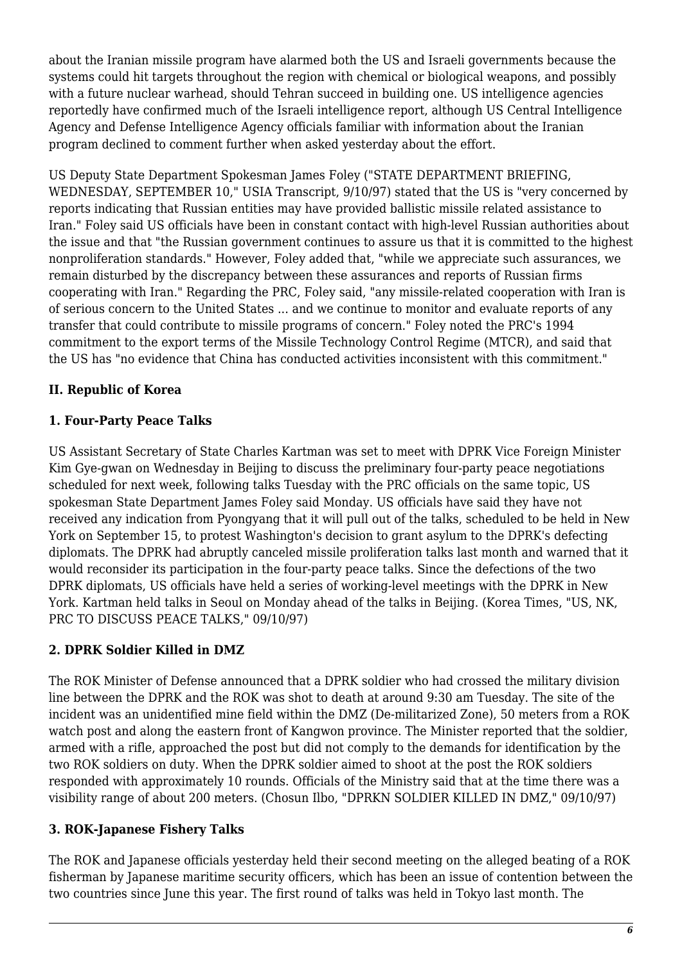about the Iranian missile program have alarmed both the US and Israeli governments because the systems could hit targets throughout the region with chemical or biological weapons, and possibly with a future nuclear warhead, should Tehran succeed in building one. US intelligence agencies reportedly have confirmed much of the Israeli intelligence report, although US Central Intelligence Agency and Defense Intelligence Agency officials familiar with information about the Iranian program declined to comment further when asked yesterday about the effort.

US Deputy State Department Spokesman James Foley ("STATE DEPARTMENT BRIEFING, WEDNESDAY, SEPTEMBER 10," USIA Transcript, 9/10/97) stated that the US is "very concerned by reports indicating that Russian entities may have provided ballistic missile related assistance to Iran." Foley said US officials have been in constant contact with high-level Russian authorities about the issue and that "the Russian government continues to assure us that it is committed to the highest nonproliferation standards." However, Foley added that, "while we appreciate such assurances, we remain disturbed by the discrepancy between these assurances and reports of Russian firms cooperating with Iran." Regarding the PRC, Foley said, "any missile-related cooperation with Iran is of serious concern to the United States ... and we continue to monitor and evaluate reports of any transfer that could contribute to missile programs of concern." Foley noted the PRC's 1994 commitment to the export terms of the Missile Technology Control Regime (MTCR), and said that the US has "no evidence that China has conducted activities inconsistent with this commitment."

## <span id="page-5-0"></span>**II. Republic of Korea**

## <span id="page-5-1"></span>**1. Four-Party Peace Talks**

US Assistant Secretary of State Charles Kartman was set to meet with DPRK Vice Foreign Minister Kim Gye-gwan on Wednesday in Beijing to discuss the preliminary four-party peace negotiations scheduled for next week, following talks Tuesday with the PRC officials on the same topic, US spokesman State Department James Foley said Monday. US officials have said they have not received any indication from Pyongyang that it will pull out of the talks, scheduled to be held in New York on September 15, to protest Washington's decision to grant asylum to the DPRK's defecting diplomats. The DPRK had abruptly canceled missile proliferation talks last month and warned that it would reconsider its participation in the four-party peace talks. Since the defections of the two DPRK diplomats, US officials have held a series of working-level meetings with the DPRK in New York. Kartman held talks in Seoul on Monday ahead of the talks in Beijing. (Korea Times, "US, NK, PRC TO DISCUSS PEACE TALKS," 09/10/97)

## <span id="page-5-2"></span>**2. DPRK Soldier Killed in DMZ**

The ROK Minister of Defense announced that a DPRK soldier who had crossed the military division line between the DPRK and the ROK was shot to death at around 9:30 am Tuesday. The site of the incident was an unidentified mine field within the DMZ (De-militarized Zone), 50 meters from a ROK watch post and along the eastern front of Kangwon province. The Minister reported that the soldier, armed with a rifle, approached the post but did not comply to the demands for identification by the two ROK soldiers on duty. When the DPRK soldier aimed to shoot at the post the ROK soldiers responded with approximately 10 rounds. Officials of the Ministry said that at the time there was a visibility range of about 200 meters. (Chosun Ilbo, "DPRKN SOLDIER KILLED IN DMZ," 09/10/97)

## <span id="page-5-3"></span>**3. ROK-Japanese Fishery Talks**

The ROK and Japanese officials yesterday held their second meeting on the alleged beating of a ROK fisherman by Japanese maritime security officers, which has been an issue of contention between the two countries since June this year. The first round of talks was held in Tokyo last month. The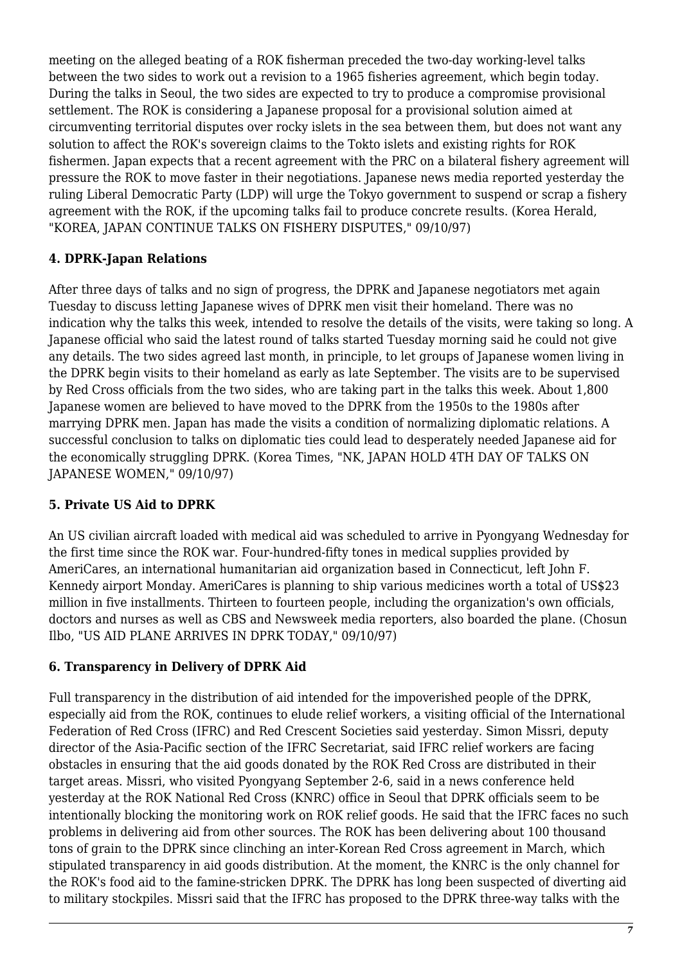meeting on the alleged beating of a ROK fisherman preceded the two-day working-level talks between the two sides to work out a revision to a 1965 fisheries agreement, which begin today. During the talks in Seoul, the two sides are expected to try to produce a compromise provisional settlement. The ROK is considering a Japanese proposal for a provisional solution aimed at circumventing territorial disputes over rocky islets in the sea between them, but does not want any solution to affect the ROK's sovereign claims to the Tokto islets and existing rights for ROK fishermen. Japan expects that a recent agreement with the PRC on a bilateral fishery agreement will pressure the ROK to move faster in their negotiations. Japanese news media reported yesterday the ruling Liberal Democratic Party (LDP) will urge the Tokyo government to suspend or scrap a fishery agreement with the ROK, if the upcoming talks fail to produce concrete results. (Korea Herald, "KOREA, JAPAN CONTINUE TALKS ON FISHERY DISPUTES," 09/10/97)

#### <span id="page-6-0"></span>**4. DPRK-Japan Relations**

After three days of talks and no sign of progress, the DPRK and Japanese negotiators met again Tuesday to discuss letting Japanese wives of DPRK men visit their homeland. There was no indication why the talks this week, intended to resolve the details of the visits, were taking so long. A Japanese official who said the latest round of talks started Tuesday morning said he could not give any details. The two sides agreed last month, in principle, to let groups of Japanese women living in the DPRK begin visits to their homeland as early as late September. The visits are to be supervised by Red Cross officials from the two sides, who are taking part in the talks this week. About 1,800 Japanese women are believed to have moved to the DPRK from the 1950s to the 1980s after marrying DPRK men. Japan has made the visits a condition of normalizing diplomatic relations. A successful conclusion to talks on diplomatic ties could lead to desperately needed Japanese aid for the economically struggling DPRK. (Korea Times, "NK, JAPAN HOLD 4TH DAY OF TALKS ON JAPANESE WOMEN," 09/10/97)

## <span id="page-6-1"></span>**5. Private US Aid to DPRK**

An US civilian aircraft loaded with medical aid was scheduled to arrive in Pyongyang Wednesday for the first time since the ROK war. Four-hundred-fifty tones in medical supplies provided by AmeriCares, an international humanitarian aid organization based in Connecticut, left John F. Kennedy airport Monday. AmeriCares is planning to ship various medicines worth a total of US\$23 million in five installments. Thirteen to fourteen people, including the organization's own officials, doctors and nurses as well as CBS and Newsweek media reporters, also boarded the plane. (Chosun Ilbo, "US AID PLANE ARRIVES IN DPRK TODAY," 09/10/97)

## <span id="page-6-2"></span>**6. Transparency in Delivery of DPRK Aid**

Full transparency in the distribution of aid intended for the impoverished people of the DPRK, especially aid from the ROK, continues to elude relief workers, a visiting official of the International Federation of Red Cross (IFRC) and Red Crescent Societies said yesterday. Simon Missri, deputy director of the Asia-Pacific section of the IFRC Secretariat, said IFRC relief workers are facing obstacles in ensuring that the aid goods donated by the ROK Red Cross are distributed in their target areas. Missri, who visited Pyongyang September 2-6, said in a news conference held yesterday at the ROK National Red Cross (KNRC) office in Seoul that DPRK officials seem to be intentionally blocking the monitoring work on ROK relief goods. He said that the IFRC faces no such problems in delivering aid from other sources. The ROK has been delivering about 100 thousand tons of grain to the DPRK since clinching an inter-Korean Red Cross agreement in March, which stipulated transparency in aid goods distribution. At the moment, the KNRC is the only channel for the ROK's food aid to the famine-stricken DPRK. The DPRK has long been suspected of diverting aid to military stockpiles. Missri said that the IFRC has proposed to the DPRK three-way talks with the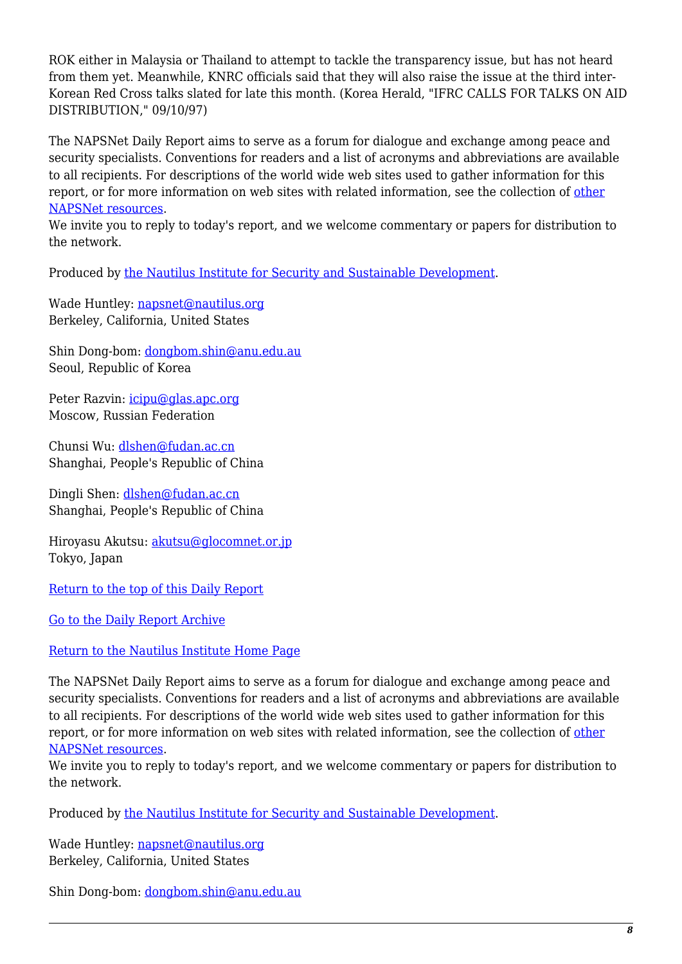ROK either in Malaysia or Thailand to attempt to tackle the transparency issue, but has not heard from them yet. Meanwhile, KNRC officials said that they will also raise the issue at the third inter-Korean Red Cross talks slated for late this month. (Korea Herald, "IFRC CALLS FOR TALKS ON AID DISTRIBUTION," 09/10/97)

The NAPSNet Daily Report aims to serve as a forum for dialogue and exchange among peace and security specialists. Conventions for readers and a list of acronyms and abbreviations are available to all recipients. For descriptions of the world wide web sites used to gather information for this report, or for more information on web sites with related information, see the collection of [other](http://www.nautilus.org/napsnet/resources.html) [NAPSNet resources.](http://www.nautilus.org/napsnet/resources.html)

We invite you to reply to today's report, and we welcome commentary or papers for distribution to the network.

Produced by [the Nautilus Institute for Security and Sustainable Development](http://www.nautilus.org/morenaut.html).

Wade Huntley: [napsnet@nautilus.org](mailto:napsnet@nautilus.org) Berkeley, California, United States

Shin Dong-bom: [dongbom.shin@anu.edu.au](mailto:dongbom.shin@anu.edu.au) Seoul, Republic of Korea

Peter Razvin: [icipu@glas.apc.org](mailto:icipu@glas.apc.org) Moscow, Russian Federation

Chunsi Wu: [dlshen@fudan.ac.cn](mailto:dlshen@fudan.ac.cn (Chunsi Wu)) Shanghai, People's Republic of China

Dingli Shen: [dlshen@fudan.ac.cn](mailto:dlshen@fudan.ac.cn (Dingli Shen)) Shanghai, People's Republic of China

Hiroyasu Akutsu: [akutsu@glocomnet.or.jp](mailto:akutsu@glocomnet.or.jp) Tokyo, Japan

[Return to the top of this Daily Report](#page--1-0)

[Go to the Daily Report Archive](http://www.nautilus.org/pub/ftp/napsnet/daily_reports)

#### [Return to the Nautilus Institute Home Page](http://www.nautilus.org)

The NAPSNet Daily Report aims to serve as a forum for dialogue and exchange among peace and security specialists. Conventions for readers and a list of acronyms and abbreviations are available to all recipients. For descriptions of the world wide web sites used to gather information for this report, or for more information on web sites with related information, see the collection of [other](http://www.nautilus.org/napsnet/resources.html) [NAPSNet resources.](http://www.nautilus.org/napsnet/resources.html)

We invite you to reply to today's report, and we welcome commentary or papers for distribution to the network.

Produced by [the Nautilus Institute for Security and Sustainable Development](http://www.nautilus.org/morenaut.html).

Wade Huntley: [napsnet@nautilus.org](mailto:napsnet@nautilus.org) Berkeley, California, United States

Shin Dong-bom: [dongbom.shin@anu.edu.au](mailto:dongbom.shin@anu.edu.au)